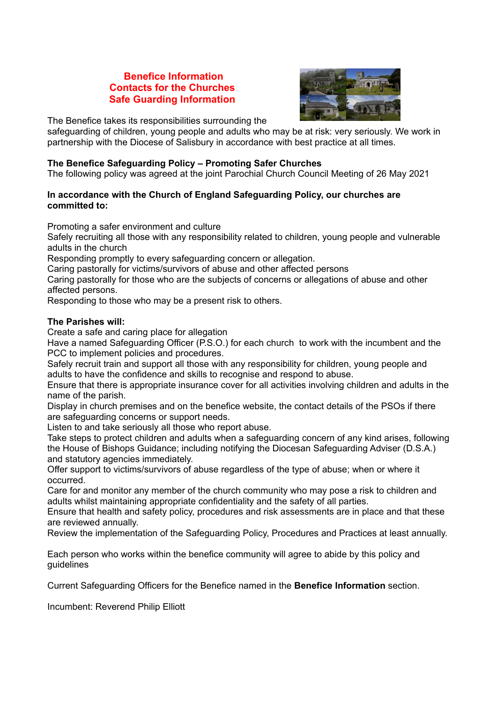# **Benefice Information Contacts for the Churches Safe Guarding Information**



The Benefice takes its responsibilities surrounding the

safeguarding of children, young people and adults who may be at risk: very seriously. We work in partnership with the Diocese of Salisbury in accordance with best practice at all times.

# **The Benefice Safeguarding Policy – Promoting Safer Churches**

The following policy was agreed at the joint Parochial Church Council Meeting of 26 May 2021

# **In accordance with the Church of England Safeguarding Policy, our churches are committed to:**

Promoting a safer environment and culture

Safely recruiting all those with any responsibility related to children, young people and vulnerable adults in the church

Responding promptly to every safeguarding concern or allegation.

Caring pastorally for victims/survivors of abuse and other affected persons

Caring pastorally for those who are the subjects of concerns or allegations of abuse and other affected persons.

Responding to those who may be a present risk to others.

# **The Parishes will:**

Create a safe and caring place for allegation

Have a named Safeguarding Officer (P.S.O.) for each church to work with the incumbent and the PCC to implement policies and procedures.

Safely recruit train and support all those with any responsibility for children, young people and adults to have the confidence and skills to recognise and respond to abuse.

Ensure that there is appropriate insurance cover for all activities involving children and adults in the name of the parish.

Display in church premises and on the benefice website, the contact details of the PSOs if there are safeguarding concerns or support needs.

Listen to and take seriously all those who report abuse.

Take steps to protect children and adults when a safeguarding concern of any kind arises, following the House of Bishops Guidance; including notifying the Diocesan Safeguarding Adviser (D.S.A.) and statutory agencies immediately.

Offer support to victims/survivors of abuse regardless of the type of abuse; when or where it occurred.

Care for and monitor any member of the church community who may pose a risk to children and adults whilst maintaining appropriate confidentiality and the safety of all parties.

Ensure that health and safety policy, procedures and risk assessments are in place and that these are reviewed annually.

Review the implementation of the Safeguarding Policy, Procedures and Practices at least annually.

Each person who works within the benefice community will agree to abide by this policy and guidelines

Current Safeguarding Officers for the Benefice named in the **Benefice Information** section.

Incumbent: Reverend Philip Elliott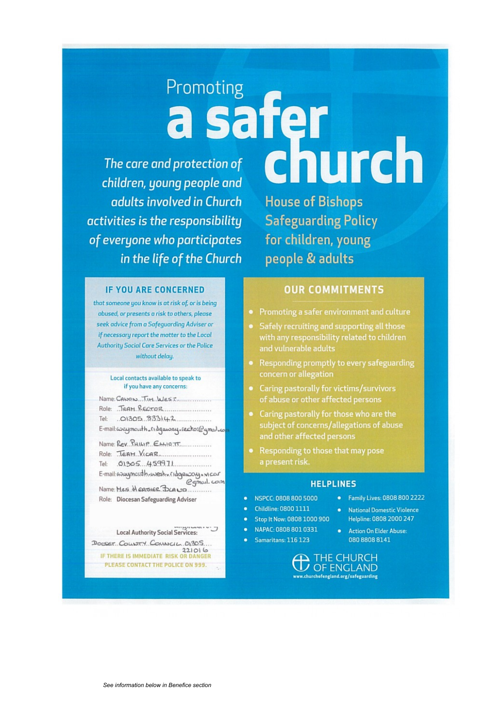# Promoting<br>**a safer**<br>derotection of **church**

The care and protection of children, young people and adults involved in Church activities is the responsibility of everyone who participates in the life of the Church

**House of Bishops Safeguarding Policy** for children, young people & adults

## **IF YOU ARE CONCERNED**

that someone you know is at risk of, or is being abused, or presents a risk to others, please seek advice from a Safeguarding Adviser or if necessary report the matter to the Local **Authority Social Care Services or the Police** without delay.

### Local contacts available to speak to if you have any concerns:

| Name: CANON TIM. WEST                          |
|------------------------------------------------|
| Role: JEAM RECTOR                              |
|                                                |
| E-mail: consegment h. Magaway. rector@gmail.co |

| Name: $Kev.$ THILIP. $EMHOTT$       |
|-------------------------------------|
| Role: TEAH. VICAR.                  |
| Tel: 01305 459971                   |
| E-mail: Anaymosdh.west.com          |
| Name: Mes. Hearrier BLAND           |
| Role: Diocesan Safeguarding Adviser |

### Local Authority Social Services:

DOESET COLLOTY COUNSCIL DI305 1221016<br>IF THERE IS IMMEDIATE RISK OR DANGER PLEASE CONTACT THE POLICE ON 999.

# **OUR COMMITMENTS**

- Promoting a safer environment and culture
- Safely recruiting and supporting all those with any responsibility related to children and vulnerable adults
- Responding promptly to every safeguarding concern or allegation
- Caring pastorally for victims/survivors of abuse or other affected persons
- Caring pastorally for those who are the subject of concerns/allegations of abuse and other affected persons
- Responding to those that may pose a present risk.

### **HELPLINES**

- NSPCC: 0808 800 5000
- Childline: 0800 1111
- Stop It Now: 0808 1000 900
	- NAPAC: 0808 801 0331
- Samaritans: 116 123
- Helpline: 0808 2000 247 **Action On Elder Abuse:**  $\bullet$ 080 8808 8141

• Family Lives: 0808 800 2222

National Domestic Violence

 $\mathop{\blacktriangle}$  THE CHURCH **/ OF ENGLAND** w.churchofengland.org/safeguarding